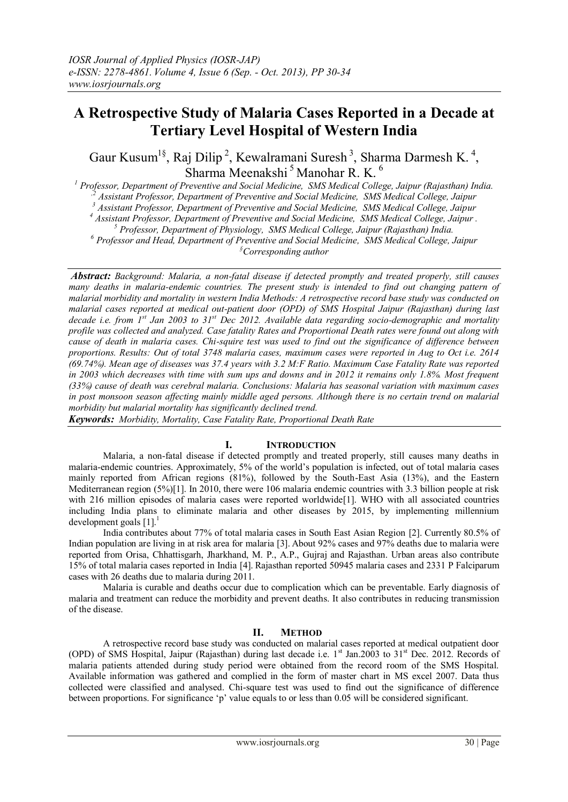# **A Retrospective Study of Malaria Cases Reported in a Decade at Tertiary Level Hospital of Western India**

Gaur Kusum<sup>1§</sup>, Raj Dilip<sup>2</sup>, Kewalramani Suresh<sup>3</sup>, Sharma Darmesh K.<sup>4</sup>, Sharma Meenakshi<sup>5</sup> Manohar R. K.<sup>6</sup>

*<sup>1</sup> Professor, Department of Preventive and Social Medicine, SMS Medical College, Jaipur (Rajasthan) India. ,2 Assistant Professor, Department of Preventive and Social Medicine, SMS Medical College, Jaipur*

*<sup>3</sup> Assistant Professor, Department of Preventive and Social Medicine, SMS Medical College, Jaipur*

*<sup>4</sup> Assistant Professor, Department of Preventive and Social Medicine, SMS Medical College, Jaipur .*

*<sup>5</sup> Professor, Department of Physiology, SMS Medical College, Jaipur (Rajasthan) India.*

*<sup>6</sup> Professor and Head, Department of Preventive and Social Medicine, SMS Medical College, Jaipur*

*§Corresponding author*

*Abstract: Background: Malaria, a non-fatal disease if detected promptly and treated properly, still causes many deaths in malaria-endemic countries. The present study is intended to find out changing pattern of malarial morbidity and mortality in western India Methods: A retrospective record base study was conducted on malarial cases reported at medical out-patient door (OPD) of SMS Hospital Jaipur (Rajasthan) during last decade i.e. from 1st Jan 2003 to 31st Dec 2012. Available data regarding socio-demographic and mortality profile was collected and analyzed. Case fatality Rates and Proportional Death rates were found out along with cause of death in malaria cases. Chi-squire test was used to find out the significance of difference between proportions. Results: Out of total 3748 malaria cases, maximum cases were reported in Aug to Oct i.e. 2614 (69.74%). Mean age of diseases was 37.4 years with 3.2 M:F Ratio. Maximum Case Fatality Rate was reported in 2003 which decreases with time with sum ups and downs and in 2012 it remains only 1.8%. Most frequent (33%) cause of death was cerebral malaria. Conclusions: Malaria has seasonal variation with maximum cases in post monsoon season affecting mainly middle aged persons. Although there is no certain trend on malarial morbidity but malarial mortality has significantly declined trend.*

*Keywords: Morbidity, Mortality, Case Fatality Rate, Proportional Death Rate* 

#### **I. INTRODUCTION**

Malaria, a non-fatal disease if detected promptly and treated properly, still causes many deaths in malaria-endemic countries. Approximately, 5% of the world's population is infected, out of total malaria cases mainly reported from African regions (81%), followed by the South-East Asia (13%), and the Eastern Mediterranean region (5%)[1]. In 2010, there were 106 malaria endemic countries with 3.3 billion people at risk with 216 million episodes of malaria cases were reported worldwide<sup>[1]</sup>. WHO with all associated countries including India plans to eliminate malaria and other diseases by 2015, by implementing millennium development goals  $[1]$ .<sup>1</sup>

India contributes about 77% of total malaria cases in South East Asian Region [2]. Currently 80.5% of Indian population are living in at risk area for malaria [3]. About 92% cases and 97% deaths due to malaria were reported from Orisa, Chhattisgarh, Jharkhand, M. P., A.P., Gujraj and Rajasthan. Urban areas also contribute 15% of total malaria cases reported in India [4]. Rajasthan reported 50945 malaria cases and 2331 P Falciparum cases with 26 deaths due to malaria during 2011.

Malaria is curable and deaths occur due to complication which can be preventable. Early diagnosis of malaria and treatment can reduce the morbidity and prevent deaths. It also contributes in reducing transmission of the disease.

#### **II. METHOD**

A retrospective record base study was conducted on malarial cases reported at medical outpatient door (OPD) of SMS Hospital, Jaipur (Rajasthan) during last decade i.e.  $1<sup>st</sup>$  Jan.2003 to 31<sup>st</sup> Dec. 2012. Records of malaria patients attended during study period were obtained from the record room of the SMS Hospital. Available information was gathered and complied in the form of master chart in MS excel 2007. Data thus collected were classified and analysed. Chi-square test was used to find out the significance of difference between proportions. For significance 'p' value equals to or less than 0.05 will be considered significant.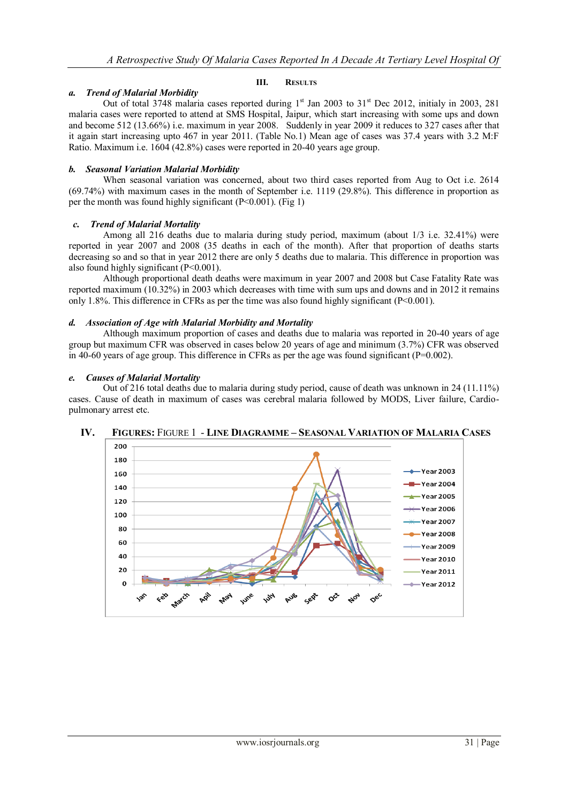## *a. Trend of Malarial Morbidity*

Out of total 3748 malaria cases reported during  $1<sup>st</sup>$  Jan 2003 to 31<sup>st</sup> Dec 2012, initialy in 2003, 281 malaria cases were reported to attend at SMS Hospital, Jaipur, which start increasing with some ups and down and become 512 (13.66%) i.e. maximum in year 2008. Suddenly in year 2009 it reduces to 327 cases after that it again start increasing upto 467 in year 2011. (Table No.1) Mean age of cases was 37.4 years with 3.2 M:F Ratio. Maximum i.e. 1604 (42.8%) cases were reported in 20-40 years age group.

**III. RESULTS**

#### *b. Seasonal Variation Malarial Morbidity*

When seasonal variation was concerned, about two third cases reported from Aug to Oct i.e. 2614 (69.74%) with maximum cases in the month of September i.e. 1119 (29.8%). This difference in proportion as per the month was found highly significant  $(P<0.001)$ . (Fig 1)

#### *c. Trend of Malarial Mortality*

Among all 216 deaths due to malaria during study period, maximum (about 1/3 i.e. 32.41%) were reported in year 2007 and 2008 (35 deaths in each of the month). After that proportion of deaths starts decreasing so and so that in year 2012 there are only 5 deaths due to malaria. This difference in proportion was also found highly significant (P<0.001).

Although proportional death deaths were maximum in year 2007 and 2008 but Case Fatality Rate was reported maximum (10.32%) in 2003 which decreases with time with sum ups and downs and in 2012 it remains only 1.8%. This difference in CFRs as per the time was also found highly significant ( $P < 0.001$ ).

### *d. Association of Age with Malarial Morbidity and Mortality*

Although maximum proportion of cases and deaths due to malaria was reported in 20-40 years of age group but maximum CFR was observed in cases below 20 years of age and minimum (3.7%) CFR was observed in 40-60 years of age group. This difference in CFRs as per the age was found significant ( $P=0.002$ ).

#### *e. Causes of Malarial Mortality*

Out of 216 total deaths due to malaria during study period, cause of death was unknown in 24 (11.11%) cases. Cause of death in maximum of cases was cerebral malaria followed by MODS, Liver failure, Cardiopulmonary arrest etc.



## **IV. FIGURES:** FIGURE 1 - **LINE DIAGRAMME – SEASONAL VARIATION OF MALARIA CASES**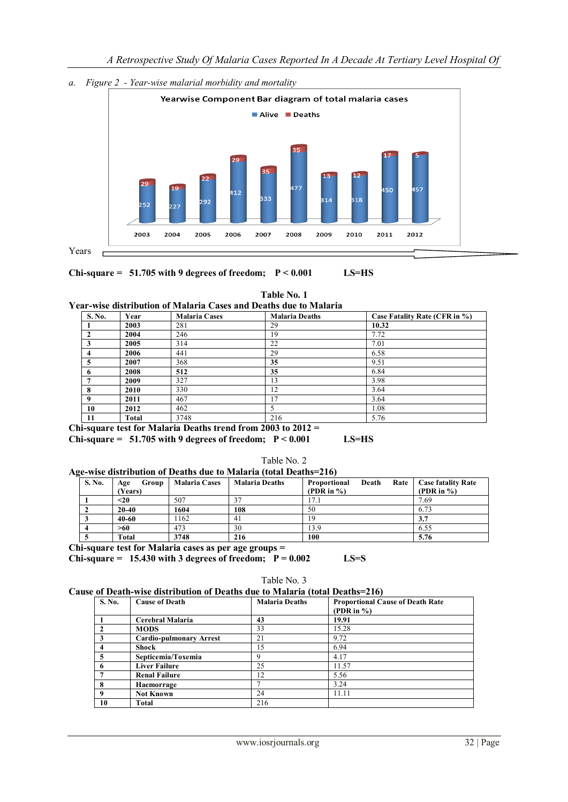



**Chi-square = 51.705 with 9 degrees of freedom; P < 0.001 LS=HS**

**Table No. 1**

**Year-wise distribution of Malaria Cases and Deaths due to Malaria**

Years

| S. No.       | Year  | <b>Malaria Cases</b> | <b>Malaria Deaths</b> | Case Fatality Rate (CFR in %) |
|--------------|-------|----------------------|-----------------------|-------------------------------|
|              | 2003  | 281                  | 29                    | 10.32                         |
| $\mathbf{2}$ | 2004  | 246                  | 19                    | 7.72                          |
| 3            | 2005  | 314                  | 22                    | 7.01                          |
| 4            | 2006  | 441                  | 29                    | 6.58                          |
| 5            | 2007  | 368                  | 35                    | 9.51                          |
| 6            | 2008  | 512                  | 35                    | 6.84                          |
|              | 2009  | 327                  | 13                    | 3.98                          |
| 8            | 2010  | 330                  | 12                    | 3.64                          |
| $\mathbf Q$  | 2011  | 467                  | $\tau$                | 3.64                          |
| 10           | 2012  | 462                  |                       | 1.08                          |
| 11           | Total | 3748                 | 216                   | 5.76                          |

**Chi-square test for Malaria Deaths trend from 2003 to 2012 = Chi-square = 51.705 with 9 degrees of freedom; P < 0.001 LS=HS**

| Table No. 2 |  |
|-------------|--|
|-------------|--|

**Age-wise distribution of Deaths due to Malaria (total Deaths=216)**

| S. No. | Group<br>Age<br>(Years) | <b>Malaria Cases</b> | <b>Malaria Deaths</b> | Death<br>Rate<br><b>Proportional</b><br>(PDR in $\%$ ) | <b>Case fatality Rate</b><br>(PDR in $\%$ ) |
|--------|-------------------------|----------------------|-----------------------|--------------------------------------------------------|---------------------------------------------|
|        | $20$                    | 507                  |                       | 7.1                                                    | 7.69                                        |
|        | $20 - 40$               | 1604                 | 108                   | 50                                                     | 6.73                                        |
| w      | $40 - 60$               | 162                  | 41                    | 19                                                     | 3.7                                         |
|        | >60                     | 473                  | 30                    | 13.9                                                   | 6.55                                        |
|        | Total                   | 3748                 | 216                   | 100                                                    | 5.76                                        |

**Chi-square test for Malaria cases as per age groups =**

**Chi-square = 15.430 with 3 degrees of freedom;**  $P = 0.002$  **LS=S** 

Table No. 3

**Cause of Death-wise distribution of Deaths due to Malaria (total Deaths=216)**

| S. No. | <b>Cause of Death</b>          | <b>Malaria Deaths</b> | <b>Proportional Cause of Death Rate</b><br>(PDR in $\%$ ) |
|--------|--------------------------------|-----------------------|-----------------------------------------------------------|
|        | Cerebral Malaria               | 43                    | 19.91                                                     |
|        | <b>MODS</b>                    | 33                    | 15.28                                                     |
|        | <b>Cardio-pulmonary Arrest</b> | 21                    | 9.72                                                      |
|        | Shock                          | .5                    | 6.94                                                      |
|        | Septicemia/Toxemia             | Q                     | 4.17                                                      |
| o      | <b>Liver Failure</b>           | 25                    | 11.57                                                     |
|        | <b>Renal Failure</b>           | 12                    | 5.56                                                      |
| 8      | Haemorrage                     |                       | 3.24                                                      |
| Q      | <b>Not Known</b>               | 24                    | 11.11                                                     |
| 10     | Total                          | 216                   |                                                           |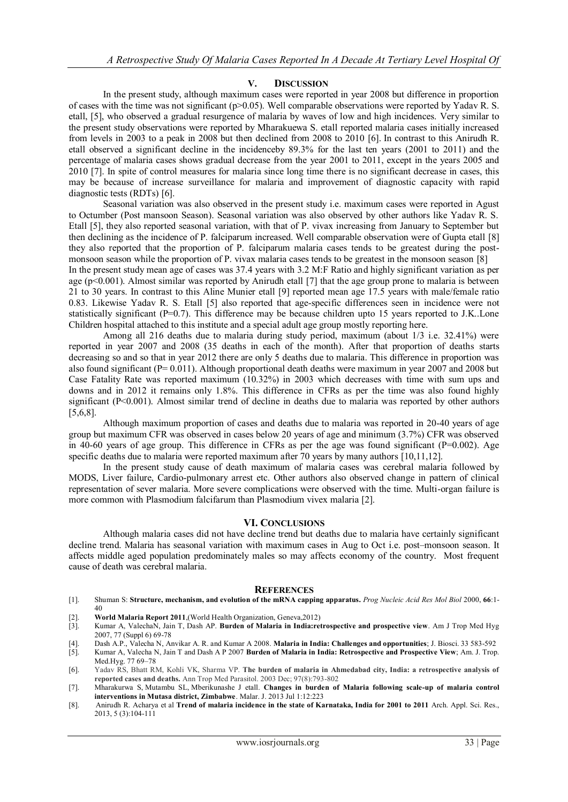#### **V. DISCUSSION**

In the present study, although maximum cases were reported in year 2008 but difference in proportion of cases with the time was not significant (p>0.05). Well comparable observations were reported by Yadav R. S. etall, [5], who observed a gradual resurgence of malaria by waves of low and high incidences. Very similar to the present study observations were reported by Mharakuewa S. etall reported malaria cases initially increased from levels in 2003 to a peak in 2008 but then declined from 2008 to 2010 [6]. In contrast to this Anirudh R. etall observed a significant decline in the incidenceby 89.3% for the last ten years (2001 to 2011) and the percentage of malaria cases shows gradual decrease from the year 2001 to 2011, except in the years 2005 and 2010 [7]. In spite of control measures for malaria since long time there is no significant decrease in cases, this may be because of increase surveillance for malaria and improvement of diagnostic capacity with rapid diagnostic tests (RDTs) [6].

Seasonal variation was also observed in the present study i.e. maximum cases were reported in Agust to Octumber (Post mansoon Season). Seasonal variation was also observed by other authors like Yadav R. S. Etall [5], they also reported seasonal variation, with that of P. vivax increasing from January to September but then declining as the incidence of P. falciparum increased. Well comparable observation were of Gupta etall [8] they also reported that the proportion of P. falciparum malaria cases tends to be greatest during the postmonsoon season while the proportion of P. vivax malaria cases tends to be greatest in the monsoon season [8]

In the present study mean age of cases was 37.4 years with 3.2 M:F Ratio and highly significant variation as per age ( $p<0.001$ ). Almost similar was reported by Anirudh etall [7] that the age group prone to malaria is between 21 to 30 years. In contrast to this Aline Munier etall [9] reported mean age 17.5 years with male/female ratio 0.83. Likewise Yadav R. S. Etall [5] also reported that age-specific differences seen in incidence were not statistically significant (P=0.7). This difference may be because children upto 15 years reported to J.K..Lone Children hospital attached to this institute and a special adult age group mostly reporting here.

Among all 216 deaths due to malaria during study period, maximum (about 1/3 i.e. 32.41%) were reported in year 2007 and 2008 (35 deaths in each of the month). After that proportion of deaths starts decreasing so and so that in year 2012 there are only 5 deaths due to malaria. This difference in proportion was also found significant (P= 0.011). Although proportional death deaths were maximum in year 2007 and 2008 but Case Fatality Rate was reported maximum (10.32%) in 2003 which decreases with time with sum ups and downs and in 2012 it remains only 1.8%. This difference in CFRs as per the time was also found highly significant (P<0.001). Almost similar trend of decline in deaths due to malaria was reported by other authors [5,6,8].

Although maximum proportion of cases and deaths due to malaria was reported in 20-40 years of age group but maximum CFR was observed in cases below 20 years of age and minimum (3.7%) CFR was observed in 40-60 years of age group. This difference in CFRs as per the age was found significant (P=0.002). Age specific deaths due to malaria were reported maximum after 70 years by many authors [10,11,12].

In the present study cause of death maximum of malaria cases was cerebral malaria followed by MODS, Liver failure, Cardio-pulmonary arrest etc. Other authors also observed change in pattern of clinical representation of sever malaria. More severe complications were observed with the time. Multi-organ failure is more common with Plasmodium falcifarum than Plasmodium vivex malaria [2].

#### **VI. CONCLUSIONS**

Although malaria cases did not have decline trend but deaths due to malaria have certainly significant decline trend. Malaria has seasonal variation with maximum cases in Aug to Oct i.e. post–monsoon season. It affects middle aged population predominately males so may affects economy of the country. Most frequent cause of death was cerebral malaria.

#### **REFERENCES**

- [1]. Shuman S: **Structure, mechanism, and evolution of the mRNA capping apparatus.** *Prog Nucleic Acid Res Mol Biol* 2000, **66**:1- 40
- [2]. **World Malaria Report 2011**,(World Health Organization, Geneva,2012)
- [3]. Kumar A, ValechaN, Jain T, Dash AP. **Burden of Malaria in India:retrospective and prospective view**. Am J Trop Med Hyg 2007, 77 (Suppl 6) 69-78
- [4]. Dash A.P., Valecha N, Anvikar A. R. and Kumar A 2008. **Malaria in India: Challenges and opportunities**; J. Biosci. 33 583-592
- [5]. Kumar A, Valecha N, Jain T and Dash A P 2007 **Burden of Malaria in India: Retrospective and Prospective View**; Am. J. Trop. Med.Hyg. 77 69–78
- [6]. Yadav RS, Bhatt RM, Kohli VK, Sharma VP. **The burden of malaria in Ahmedabad city, India: a retrospective analysis of reported cases and deaths.** Ann Trop Med Parasitol. 2003 Dec; 97(8):793-802
- [7]. [Mharakurwa S,](http://www.ncbi.nlm.nih.gov/pubmed?term=Mharakurwa%20S%5BAuthor%5D&cauthor=true&cauthor_uid=23815862) [Mutambu SL,](http://www.ncbi.nlm.nih.gov/pubmed?term=Mutambu%20SL%5BAuthor%5D&cauthor=true&cauthor_uid=23815862) [Mberikunashe J](http://www.ncbi.nlm.nih.gov/pubmed?term=Mberikunashe%20J%5BAuthor%5D&cauthor=true&cauthor_uid=23815862) etall. **Changes in burden of Malaria following scale-up of malaria control interventions in Mutasa district, Zimbabwe**. Malar. J. 2013 Jul 1:12:223
- [8]. Anirudh R. Acharya et al **Trend of malaria incidence in the state of Karnataka, India for 2001 to 2011** Arch. Appl. Sci. Res., 2013, 5 (3):104-111